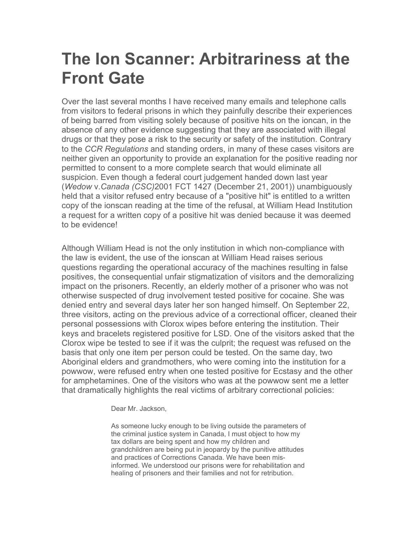## **The Ion Scanner: Arbitrariness at the Front Gate**

Over the last several months I have received many emails and telephone calls from visitors to federal prisons in which they painfully describe their experiences of being barred from visiting solely because of positive hits on the ioncan, in the absence of any other evidence suggesting that they are associated with illegal drugs or that they pose a risk to the security or safety of the institution. Contrary to the *CCR Regulations* and standing orders, in many of these cases visitors are neither given an opportunity to provide an explanation for the positive reading nor permitted to consent to a more complete search that would eliminate all suspicion. Even though a federal court judgement handed down last year (*Wedow* v.*Canada (CSC)*2001 FCT 1427 (December 21, 2001)) unambiguously held that a visitor refused entry because of a "positive hit" is entitled to a written copy of the ionscan reading at the time of the refusal, at William Head Institution a request for a written copy of a positive hit was denied because it was deemed to be evidence!

Although William Head is not the only institution in which non-compliance with the law is evident, the use of the ionscan at William Head raises serious questions regarding the operational accuracy of the machines resulting in false positives, the consequential unfair stigmatization of visitors and the demoralizing impact on the prisoners. Recently, an elderly mother of a prisoner who was not otherwise suspected of drug involvement tested positive for cocaine. She was denied entry and several days later her son hanged himself. On September 22, three visitors, acting on the previous advice of a correctional officer, cleaned their personal possessions with Clorox wipes before entering the institution. Their keys and bracelets registered positive for LSD. One of the visitors asked that the Clorox wipe be tested to see if it was the culprit; the request was refused on the basis that only one item per person could be tested. On the same day, two Aboriginal elders and grandmothers, who were coming into the institution for a powwow, were refused entry when one tested positive for Ecstasy and the other for amphetamines. One of the visitors who was at the powwow sent me a letter that dramatically highlights the real victims of arbitrary correctional policies:

Dear Mr. Jackson,

As someone lucky enough to be living outside the parameters of the criminal justice system in Canada, I must object to how my tax dollars are being spent and how my children and grandchildren are being put in jeopardy by the punitive attitudes and practices of Corrections Canada. We have been misinformed. We understood our prisons were for rehabilitation and healing of prisoners and their families and not for retribution.